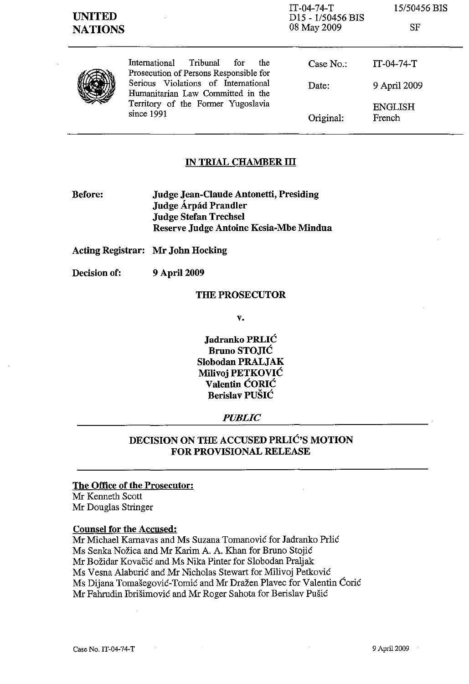| <b>UNITED</b><br><b>NATIONS</b> |                                                                                                                              | $IT-04-74-T$<br>D15 - 1/50456 BIS<br>08 May 2009 | 15/50456 BIS<br>SF       |
|---------------------------------|------------------------------------------------------------------------------------------------------------------------------|--------------------------------------------------|--------------------------|
|                                 | International<br>Tribunal<br>the<br>for<br>Prosecution of Persons Responsible for                                            | Case $No.$ :                                     | $IT-04-74-T$             |
|                                 | Serious Violations of International<br>Humanitarian Law Committed in the<br>Territory of the Former Yugoslavia<br>since 1991 | Date:                                            | 9 April 2009             |
|                                 |                                                                                                                              | Original:                                        | <b>ENGLISH</b><br>French |

# **IN TRIAL CHAMBER ill**

**Before: Judge Jean-Claude Antonetti, Presiding Judge Arpad Prandler Judge Stefan Trechsel Reserve Judge Antoine Kesia-Mbe Mindua** 

**Acting Registrar: Mr John Hocking** 

**Decision of:** 9 April 2009

#### **THE PROSECUTOR**

**v.** 

**Jadranko PRLIĆ Bruno STOJIC Slobodan PRALJAK Milivoj PETKOVIC Valentin CORlC Berislav PUSIC** 

# *PUBLIC*

# **DECISION ON THE ACCUSED PRLIC'S MOTION FOR PROVISIONAL RELEASE**

#### **The Office of the Prosecutor:**

Mr Kenneth Scott Mr Douglas Stringer

# **Counsel for the Accused:**

Mr Michael Karnavas and Ms Suzana Tomanovic for Jadranko Prlic Ms Senka Nozica and Mr Karim A. A. Khan for Bruno Stojic Mr Bozidar Kovacic and Ms Nika Pinter for Slobodan Praljak Ms Vesna Alaburic and Mr Nicholas Stewart for Milivoj Petkovic Ms Dijana Tomašegović-Tomić and Mr Dražen Plavec for Valentin Ćorić Mr Fahrudin lbrisimovic and Mr Roger Sahota for Berislav Pusic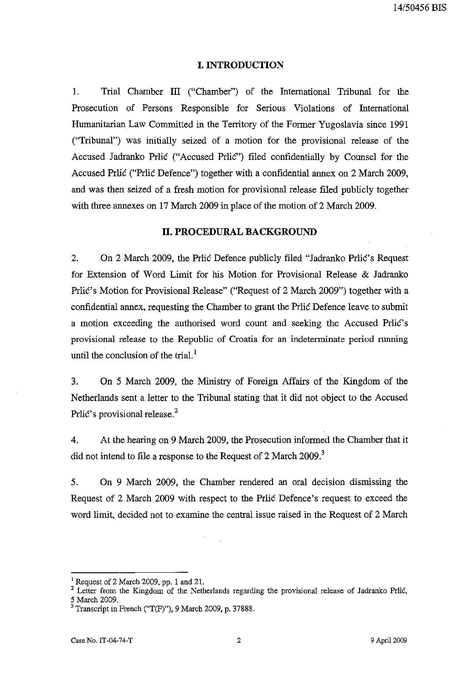#### **I. INTRODUCTION**

1. Trial Chamber III ("Chamber") of the International Tribunal for the Prosecution of Persons Responsible for Serious Violations of International Humanitarian Law Committed in the Territory of the Former Yugoslavia since 1991 ("Tribunal") was initially seized of a motion for the provisional release of the Accused Jadranko Prlić ("Accused Prlić") filed confidentially by Counsel for the Accused Prlic ("Prlic Defence") together with a confidential aunex on 2 March 2009, and was then seized of a fresh motion for provisional release filed publicly together with three aunexes on 17 March 2009 in place of the motion of 2 March 2009.

#### **II. PROCEDURAL BACKGROUND**

2. On 2 March 2009, the Prlic Defence publicly filed "Jadranko Prlic's Request for Extension of Word Limit for his Motion for Provisional Release & Jadranko Prlic's Motion for Provisional Release" ("Request of 2 March 2009") together with a confidential aunex, requesting the Chamber to grant the Prlic Defence leave to submit a motion exceeding the authorised word count and seeking the Accused Prlic's provisional release to the Republic of Croatia for an indeterminate period running until the conclusion of the trial. $<sup>1</sup>$ </sup>

3. On 5 March 2009, the Ministry of Foreign Affairs of the Kingdom of the Netherlands sent a letter to the Tribunal stating that it did not object to the Accused Prlic's provisional release.<sup>2</sup>

4. At the hearing on 9 March 2009, the Prosecution informed the Chamber that it did not intend to file a response to the Request of 2 March 2009.<sup>3</sup>

5. On 9 March 2009, the Chamber rendered an oral decision dismissing the Request of 2 March 2009 with respect to the Prlic Defence's request to exceed the word limit, decided not to examine the central issue raised in the Request of 2 March

<sup>&</sup>lt;sup>1</sup> Request of 2 March 2009, pp. 1 and 21.

<sup>&</sup>lt;sup>2</sup> Letter from the Kingdom of the Netherlands regarding the provisional release of Jadranko Prlić, 5 March 2009.

 $3$  Transcript in French ("T(F)"), 9 March 2009, p. 37888.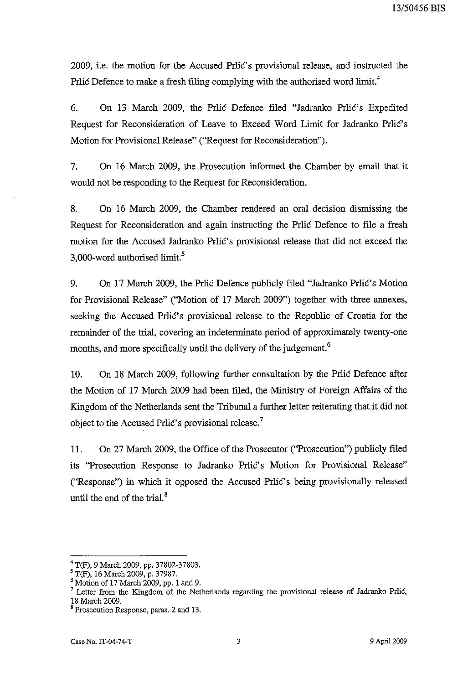2009, i.e. the motion for the Accused Prlic's provisional release, and instructed the Prlic Defence to make a fresh filing complying with the authorised word limit.<sup>4</sup>

6. On 13 March 2009, the Prlie Defence filed "Jadranko Prlie's Expedited Request for Reconsideration of Leave to Exceed Word Limit for Jadranko Prlić's Motion for Provisional Release" ("Request for Reconsideration").

7. On 16 March 2009, the Prosecution informed the Chamber by email that it would not be responding to the Request for Reconsideration.

8. On 16 March 2009, the Chamber rendered an oral decision dismissing the Request for Reconsideration and again instructing the Prlic Defence to file a fresh motion for the Accused Jadranko Prlic's provisional release that did not exceed the 3,000-word authorised limit.<sup>5</sup>

9. On 17 March 2009, the Prlic Defence publicly filed "Jadranko Prlic's Motion for Provisional Release" ("Motion of 17 March 2009") together with three annexes, seeking the Accused Prlic's provisional release to the Republic of Croatia for the remainder of the trial, covering an indeterminate period of approximately twenty-one months, and more specifically until the delivery of the judgement.<sup>6</sup>

10. On 18 March 2009, following further consultation by the Prlie Defence after the Motion of 17 March 2009 had been filed, the Ministry of Foreign Affairs of the Kingdom of the Netherlands sent the Tribunal a further letter reiterating that it did not object to the Accused Prlic's provisional release. $\frac{7}{1}$ 

11. On 27 March 2009, the Office of the Prosecutor ("Prosecution") publicly filed its "Prosecution Response to Jadranko Prlić's Motion for Provisional Release" ("Response") in which it opposed the Accused Prlie's being provisionally released until the end of the trial. $8$ 

<sup>4</sup> T(F), 9 March 2009, pp. 37802-37803.

<sup>5</sup> T(F), 16 March 2009, p. 37987.

 $6$  Motion of 17 March 2009, pp. 1 and 9.

<sup>&</sup>lt;sup>7</sup> Letter from the Kingdom of the Netherlands regarding the provisional release of Jadranko Prlić, 18 March 2009.

<sup>&</sup>lt;sup>8</sup> Prosecution Response, paras. 2 and 13.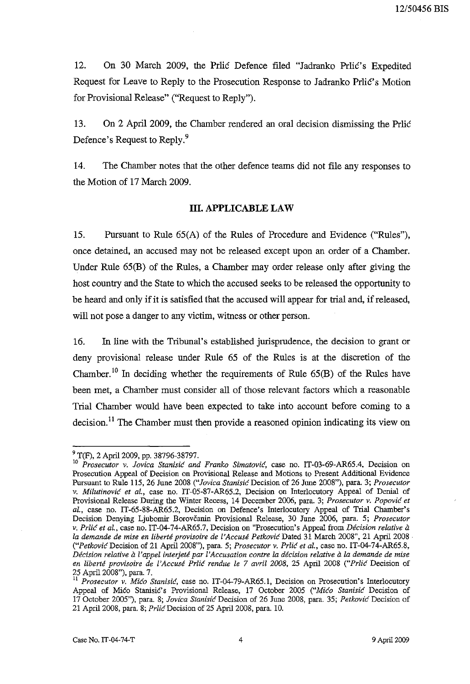12. On 30 March 2009, the Prlic Defence filed "Jadranko Prlic's Expedited Request for Leave to Reply to the Prosecution Response to Jadranko Prlic's Motion for Provisional Release" ("Request to Reply").

13. On 2 April 2009, the Chamber rendered an oral decision dismissing the Prlic Defence's Request to Reply.<sup>9</sup>

**14.** The Chamber notes that the other defence teams did not file any responses to the Motion of 17 March 2009.

# **III. APPLICABLE LAW**

15. Pursuant to Rule 65(A) of the Rules of Procedure and Evidence ("Rules"), once detained, an accused may not be released except upon an order of a Chamber. Under Rule 65(B) of the Rules, a Chamber may order release only after giving the host country and the State to which the accused seeks to be released the opportunity to be heard and only if it is satisfied that the accused will appear for trial and, if released, will not pose a danger to any victim, witness or other person.

16. In line with the Tribunal's established jurispmdence, the decision to grant or deny provisional release under Rule 65 of the Rules is at the discretion of the Chamber.<sup>10</sup> In deciding whether the requirements of Rule  $65(B)$  of the Rules have been met, a Chamber must consider all of those relevant factors which a reasonable Trial Chamber would have been expected to take into account before coming to a decision.<sup>11</sup> The Chamber must then provide a reasoned opinion indicating its view on

<sup>9</sup> T(F), 2 April 2009, pp. 38796-38797.

*<sup>10</sup> Prosecutor* v. *Jovica Stanisic and Franko Simatovic,* case no. IT-03-69-AR65.4, Decision on Prosecution Appeal of Decision on Provisional Release and Motions to Present Additional Evidence Pursuant to Rule 115, 26 June 2008 *("Jovica Stanisić* Decision of 26 June 2008"), para. 3; *Prosecutor* v. *Milutinovic et a!.,* case no. IT-05-87-AR65.2, Decision on Interlocutory Appeal of Denial of Provisional Release During the Winter Recess, 14 December 2006, para. 3; *Prosecutor* v. *Popovic et a!.,* case no. IT-65-88-AR65.2, Decision on Defence's Interlocutory Appeal of Trial Chamber's Decision Denying Ljubomir Borovčanin Provisional Release, 30 June 2006, para. 5; Prosecutor *v. Prlic et al.,* case no. IT-04-74-AR65.7, Decision on "Prosecution's Appeal from *Decision relative* a *la demande de mise en liberte provisoire de l'Accuse Petkovic* Dated 31 March 2008",21 April 2008 . *("Petkovic* Decision of 21 April 2008"), para. 5; *Prosecutor v. Prlic et al.,* case no. IT-04-74-AR65.8, *Decision relative a l'appel inter jete par I'Accusation contre la decision relative a la demande de mise en liberte provisoire de l'Accuse Prlic rendue Ie* 7 *avril 2008,* 25 April 2008 *("Prlic* Decision of 25 April 2008"), para. 7.

<sup>11</sup>*Prosecutor v. Mico Stanisic,* case no. IT-04-79-AR65.1, Decision on Prosecution's Interlocutory Appeal of Mico StanisiC's Provisional Release, 17 October 2005 *("Mico Stanisic* Decision of 17 October 2005"), para. 8; *Jovica Stanisic* Decision of 26 June 2008, para. 35; *Petkovic* Decision of 21 April 2008, para. 8; *Prlic* Decision of 25 April 2008, para. 10.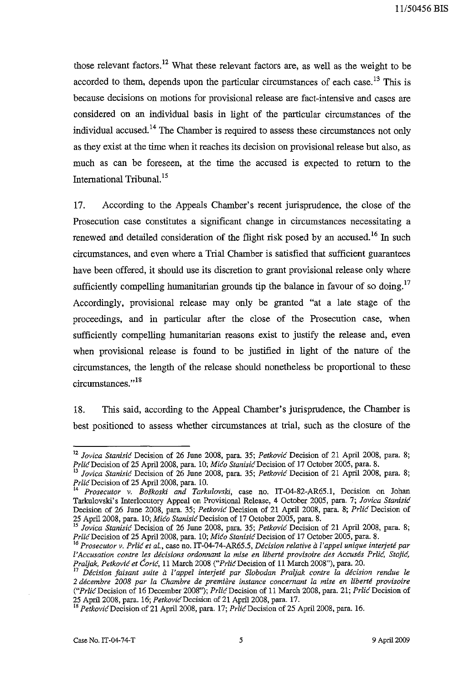those relevant factors.<sup>12</sup> What these relevant factors are, as well as the weight to be accorded to them, depends upon the particular circumstances of each case.<sup>13</sup> This is because decisions on motions for provisional release are fact-intensive and cases are considered on an individual basis in light of the particular circumstances of the individual accused.<sup>14</sup> The Chamber is required to assess these circumstances not only as they exist at the time when it reaches its decision on provisional release but also, as much as can be foreseen, at the time the accused is expected to return to the International Tribunal.<sup>15</sup>

17. According to the Appeals Chamber's recent jurisprudence, the close of the Prosecution case constitutes a significant change in circumstances necessitating a renewed and detailed consideration of the flight risk posed by an accused.<sup>16</sup> In such circumstances, and even where a Trial Chamber is satisfied that sufficient guarantees have been offered, it should use its discretion to grant provisional release only where sufficiently compelling humanitarian grounds tip the balance in favour of so doing.<sup>17</sup> Accordingly, provisional release may only be granted "at a late stage of the proceedings, and in particular after the close of the Prosecution case, when sufficiently compelling humanitarian reasons exist to justify the release and, even when provisional release is found to be justified in light of the nature of the circumstances, the length of the release should nonetheless be proportional to these **. ,,18** circumstances.

18. This said, according to the Appeal Chamber's jurisprudence, the Chamber is best positioned to assess whether circumstances at trial, such as the closure of the

<sup>&</sup>lt;sup>12</sup> Jovica Stanisić Decision of 26 June 2008, para. 35; *Petković* Decision of 21 April 2008, para. 8; *Prlic* Decision of 25 April 200B, para. *10; Mico Stanisic* Decision of 17 October 2005, para. B.

<sup>&</sup>lt;sup>13</sup> Jovica Stanisić Decision of 26 June 2008, para. 35; Petković Decision of 21 April 2008, para. 8; *Prlic* Decision of 25 April 2008, para. 10.

<sup>14</sup>*Prosecutor v. Boskoski and Tarkulovski,* case no. IT-04-B2-AR65.1, Decision on Johan Tarkulovski's Interlocutory Appeal on Provisional Release, 4 October 2005, para. 7; *Jovica Stanisić* Decision of 26 June 2008, para. 35; *Petkovic* Decision of 21 April 2008, para. 8; *Prlic* Decision of 25 April 2008, para. 10; Mico Stanisic Decision of 17 October 2005, para. 8.

<sup>&</sup>lt;sup>15</sup> Jovica Stanisić Decision of 26 June 2008, para. 35; *Petković* Decision of 21 April 2008, para. 8; *PrlicDecision* of 25 April200B, para. 10; *Mico StanisicDecision* of 17 October 2005, para. B.

<sup>&</sup>lt;sup>16</sup> Prosecutor v. Prlić et al., case no. IT-04-74-AR65.5, *Décision relative à l'appel unique interjeté par I'Accusation contre les décisions ordonnant la mise en liberté provisoire des Accusés Prlić, Stojić,* 

*Praljak, Petković et Ćorić*, 11 March 2008 ("*Prlić* Decision of 11 March 2008"), para. 20.<br><sup>17</sup> Décision faisant suite à l'appel interjeté par Slobodan Praljak contre la décision rendue le *2 decembre 2008 par la Chamhre de premiere instance concernant la mise en liberte provisoire ("PrlicDecision* of 16 December 2008"); *PrlicDecision* of 11 March 2008, para. 21; *PrlicDecision* of 25 April 2008, para. 16; Petković Decision of 21 April 2008, para. 17.

<sup>18</sup> Petkovic Decision of 21 April 2008, para. 17; *Prlic* Decision of 25 April 2008, para. 16.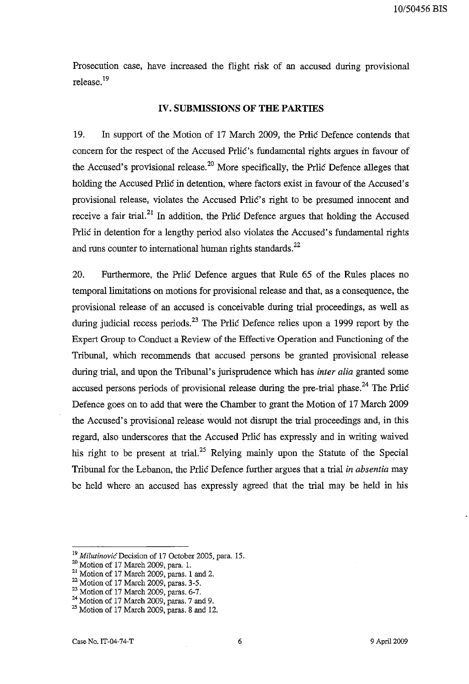Prosecution case, have increased the flight risk of an accused during provisional release.<sup>19</sup>

# **IV. SUBMISSIONS OF THE PARTIES**

19. In support of the Motion of 17 March 2009, the Prlic Defence contends that concern for the respect of the Accused Prlić's fundamental rights argues in favour of the Accused's provisional release.<sup>20</sup> More specifically, the Prlic Defence alleges that holding the Accused Prlić in detention, where factors exist in favour of the Accused's provisional release, violates the Accused Prlic's right to be presumed innocent and receive a fair trial.<sup>21</sup> In addition, the Prlic Defence argues that holding the Accused Prlić in detention for a lengthy period also violates the Accused's fundamental rights and runs counter to international human rights standards. $^{22}$ 

20. Furthermore, the Prlic Defence argues that Rule 65 of the Rules places no temporal limitations on motions for provisional release and that, as a consequence, the provisional release of an accused is conceivable during trial proceedings, as well as during judicial recess periods.<sup>23</sup> The Prlic Defence relies upon a 1999 report by the Expert Group to Conduct a Review of the Effective Operation and Functioning of the Tribunal, which recommends that accused persons be granted provisional release during trial, and upon the Tribunal's jurisprudence which has *inter alia* granted some accused persons periods of provisional release during the pre-trial phase.<sup>24</sup> The Prlić Defence goes on to add that were the Chamber to grant the Motion of 17 March 2009 the Accused's provisional release would not disrupt the trial proceedings and, in this regard, also underscores that the Accused Prlie has expressly and in writing waived his right to be present at trial.<sup>25</sup> Relying mainly upon the Statute of the Special Tribunal for the Lebanon, the Prlie Defence further argues that a trial *in absentia* may be held where an accused has expressly agreed that the trial may be held in his

<sup>&</sup>lt;sup>19</sup> Milutinović Decision of 17 October 2005, para. 15.

<sup>20</sup> Motion of 17 March 2009, para. 1.

 $21$  Motion of 17 March 2009, paras. 1 and 2.

 $22$  Motion of 17 March 2009, paras. 3-5.

 $23$  Motion of 17 March 2009, paras. 6-7.

<sup>24</sup> Motion of l7 March 2009, paras. 7 and 9.

<sup>&</sup>lt;sup>25</sup> Motion of 17 March 2009, paras. 8 and 12.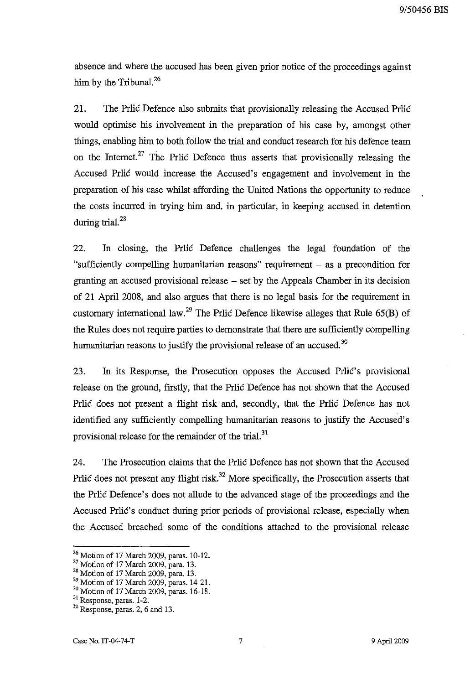absence and where the accused has been given prior notice of the proceedings against him by the Tribunal. $^{26}$ 

21. The Prlic Defence also submits that provisionally releasing the Accused Prlic would optimise his involvement in the preparation of his case by, amongst other things, enabling him to both follow the trial and conduct research for his defence team on the Internet.<sup>27</sup> The Prlic Defence thus asserts that provisionally releasing the Accused Prlic would increase the Accused's engagement and involvement in the preparation of his case whilst affording the United Nations the opportunity to reduce the costs incurred in trying him and, in particular, in keeping accused in detention during trial.<sup>28</sup>

22. In closing, the Prlic Defence challenges the legal foundation of the "sufficiently compelling humanitarian reasons" requirement – as a precondition for granting an accused provisional release - set by the Appeals Chamber in its decision of 21 April 2008, and also argues that there is no legal basis for the requirement in customary international law.<sup>29</sup> The Prlic Defence likewise alleges that Rule 65(B) of the Rules does not require parties to demonstrate that there are sufficiently compelling humanitarian reasons to justify the provisional release of an accused.<sup>30</sup>

23. In its Response, the Prosecution opposes the Accused Prlic's provisional release on the ground, firstly, that the Prlic Defence has not shown that the Accused Prlic does not present a flight risk and, secondly, that the Prlic Defence has not identified any sufficiently compelling humanitarian reasons to justify the Accused's provisional release for the remainder of the trial. $31$ 

24. The Prosecution claims that the Prlic Defence has not shown that the Accused Prlic does not present any flight risk.<sup>32</sup> More specifically, the Prosecution asserts that the Prlic Defence's does not allude to the advanced stage of the proceedings and the Accused Prlic's conduct during prior periods of provisional release, especially when the Accused breached some of the conditions attached to the provisional release

<sup>26</sup> Motion of 17 March 2009, paras. 10-12.

<sup>27</sup> Motion of 17 March 2009, para. 13.

<sup>28</sup> Motion of 17 March 2009, para. 13.

<sup>29</sup> Motion of 17 March 2009, paras. 14-21.

<sup>30</sup> Motion of 17 March 2009, paras. 16-18.

<sup>&</sup>lt;sup>31</sup> Response, paras. 1-2.

<sup>&</sup>lt;sup>32</sup> Response, paras. 2, 6 and 13.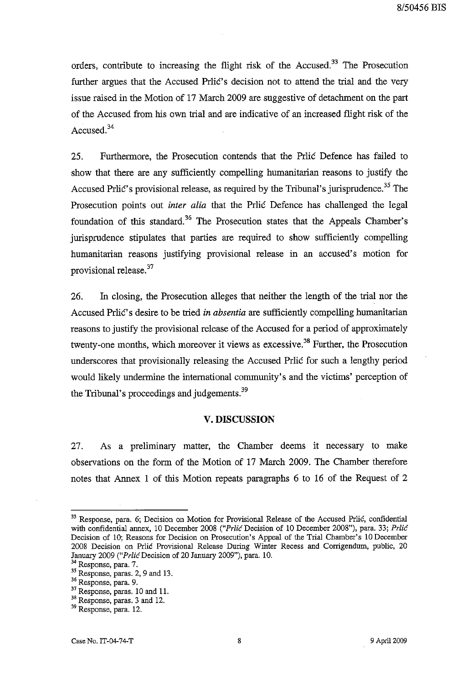orders, contribute to increasing the flight risk of the Accused.<sup>33</sup> The Prosecution further argues that the Accused Prlic's decision not to attend the trial and the very issue raised in the Motion of 17 March 2009 are suggestive of detachment on the part of the Accused from his own trial and are indicative of an increased flight risk of the Accused.<sup>34</sup>

25. Furthermore, the Prosecution contends that the Prlic Defence has failed to show that there are any sufficiently compelling humanitarian reasons to justify the Accused Prlic's provisional release, as required by the Tribunal's jurisprudence.<sup>35</sup> The Prosecution points out *inter alia* that the Prlic Defence has challenged the legal foundation of this standard.<sup>36</sup> The Prosecution states that the Appeals Chamber's jurisprudence stipulates that parties are required to show sufficiently compelling humanitarian reasons justifying provisional release in an accused's motion for provisional release. 37

26. In closing, the Prosecution alleges that neither the length of the trial nor the Accused Prlic's desire to be tried *in absentia* are sufficiently compelling humanitarian reasons to justify the provisional release of the Accused for a period of approximately twenty-one months, which moreover it views as excessive.<sup>38</sup> Further, the Prosecution underscores that provisionally releasing the Accused Prlić for such a lengthy period would likely undermine the international community's and the victims' perception of the Tribunal's proceedings and judgements.<sup>39</sup>

#### **V. DISCUSSION**

27. As a preliminary matter, the Chamber deems it necessary to make observations on the form of the Motion of 17 March 2009. The Chamber therefore notes that Annex 1 of this Motion repeats paragraphs 6 to 16 of the Request of 2

<sup>&</sup>lt;sup>33</sup> Response, para. 6; Decision on Motion for Provisional Release of the Accused Prlić, confidential with confidential annex, 10 December 2008 ("Prlic Decision of 10 December 2008"), para. 33; Prlic Decision of 10; Reasons for Decision on Prosecution's Appeal of the Trial Chamber's 10 December 2008 Decision on Prlic Provisional Release During Winter Recess and Corrigendum, public, 20 January 2009 ("PrlicDecision of 20 January 2009"), para. 10.

**<sup>34</sup> Response, para. 7.** 

 $35$  Response, paras. 2, 9 and 13.

<sup>36</sup> Response, para. 9.

<sup>&</sup>lt;sup>37</sup> Response, paras. 10 and 11.

<sup>&</sup>lt;sup>38</sup> Response, paras. 3 and 12.

<sup>39</sup> Response, para. 12.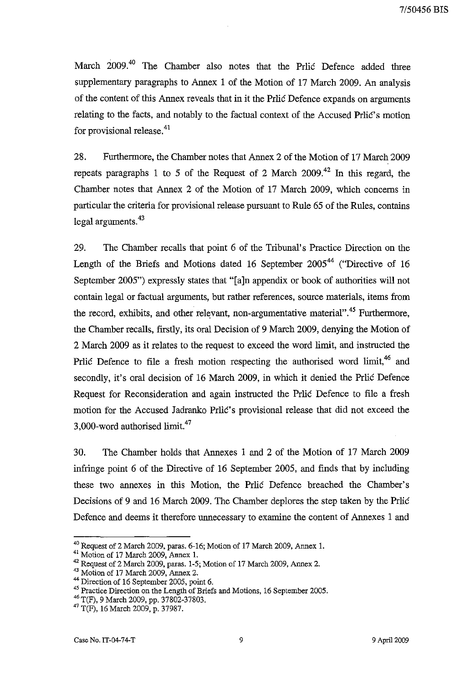March 2009.<sup>40</sup> The Chamber also notes that the Prlic Defence added three supplementary paragraphs to Annex 1 of the Motion of 17 March 2009. An analysis of the content of this Annex reveals that in it the Prlic Defence expands on arguments relating to the facts, and notably to the factual context of the Accused Prlic's motion for provisional release.<sup>41</sup>

28. Furthermore, the Chamber notes that Annex 2 of the Motion of 17 March 2009 repeats paragraphs 1 to 5 of the Request of 2 March 2009.<sup>42</sup> In this regard, the Chamber notes that Annex 2 of the Motion of 17 March 2009, which concerns in particular the criteria for provisional release pursuant to Rule 65 of the Rules, contains legal arguments.<sup>43</sup>

29. The Chamber recalls that point 6 of the Tribunal's Practice Direction on the Length of the Briefs and Motions dated 16 September  $2005^{44}$  ("Directive of 16 September 2005") expressly states that "[a]n appendix or book of authorities will not contain legal or factual arguments, but rather references, source materials, items from the record, exhibits, and other relevant, non-argumentative material".<sup>45</sup> Furthermore, the Chamber recalls, firstly, its oral Decision of 9 March 2009, denying the Motion of 2 March 2009 as it relates to the request to exceed the word limit, and instructed the Prlic Defence to file a fresh motion respecting the authorised word limit,  $46$  and secondly, it's oral decision of 16 March 2009, in which it denied the Prlic Defence Request for Reconsideration and again instructed the Prlic Defence to file a fresh motion for the Accused Jadranko Prlic's provisional release that did not exceed the 3,000-word authorised  $\text{limit.}^{47}$ 

30. The Chamber holds that Annexes 1 and 2 of the Motion of 17 March 2009 infringe point 6 of the Directive of 16 September 2005, and finds that by including these two annexes in this Motion, the Prlic Defence breached the Chamber's Decisions of 9 and 16 March 2009. The Chamber deplores the step taken by the Prlic Defence and deems it therefore unnecessary to examine the content of Annexes 1 and

 $40$  Request of 2 March 2009, paras. 6-16; Motion of 17 March 2009, Annex 1.

<sup>&</sup>lt;sup>41</sup> Motion of 17 March 2009, Annex 1.

 $42$ <sup>42</sup> Request of 2 March 2009, paras. 1-5; Motion of 17 March 2009, Annex 2.

<sup>43</sup> Motion of 17 March 2009, Annex 2.

<sup>44</sup> Direction of 16 September 2005, point 6.

 $^{45}$  Practice Direction on the Length of Briefs and Motions, 16 September 2005.

<sup>46</sup>T(F), 9 March 2009, pp. 37802-37803.

<sup>47</sup> T(F), 16 March 2009, p. 37987.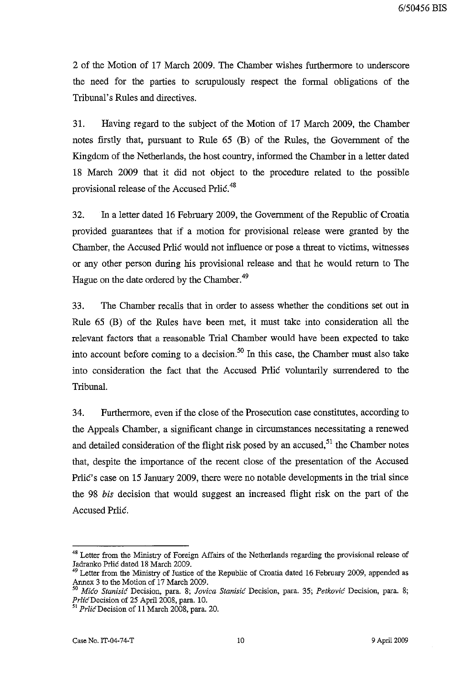2 of the Motion of 17 March 2009. The Chamber wishes furthennore to underscore the need for the parties to scrupulously respect the fonnal obligations of the Tribunal's Rules and directives.

31. Having regard to the subject of the Motion of 17 March 2009, the Chamber notes firstly that, pursuant to Rule 65 (B) of the Rules, the Government of the Kingdom of the Netherlands, the host country, infonned the Chamber in a letter dated 18 March 2009 that it did not object to the procedure related to the possible provisional release of the Accused Prlic.<sup>48</sup>

32. In a letter dated 16 February 2009, the Government of the Republic of Croatia provided guarantees that if a motion for provisional release were granted by the Chamber, the Accused Prlic would not influence or pose a threat to victims, witnesses or any other person during his provisional release and that he would return to The Hague on the date ordered by the Chamber.<sup>49</sup>

33. The Chamber recalls that in order to assess whether the conditions set out in Rule 65 (B) of the Rules have been met, it must take into consideration all the relevant factors that a reasonable Trial Chamber would have been expected to take into account before coming to a decision.<sup>50</sup> In this case, the Chamber must also take into consideration the fact that the Accused Prlic voluntarily surrendered to the Tribunal.

34. Furthennore, even if the close of the Prosecution case constitutes, according to the Appeals Chamber, a siguificant change in circumstances necessitating a renewed and detailed consideration of the flight risk posed by an accused,  $51$  the Chamber notes that, despite the importance of the recent close of the presentation of the Accused Prlic's case on 15 January 2009, there were no notable developments in the trial since the 98 *bis* decision that would suggest an increased flight risk on the part of the Accused Prlic.

<sup>&</sup>lt;sup>48</sup> Letter from the Ministry of Foreign Affairs of the Netherlands regarding the provisional release of Jadranko Prlic dated 18 March 2009.

<sup>&</sup>lt;sup>49</sup> Letter from the Ministry of Justice of the Republic of Croatia dated 16 February 2009, appended as Annex 3 to the Motion of 17 March 2009.

*<sup>50</sup> Mica Stanisic* **Decision, para. 8;** *Jovica Stanisic* **Decision, para. 35;** *Petkovic* **Decision, para. 8;**  *PrlicDecision* of 25 April 2008, para. 10.

S! *PrlicDecision* of 11 March 2008, para. 20.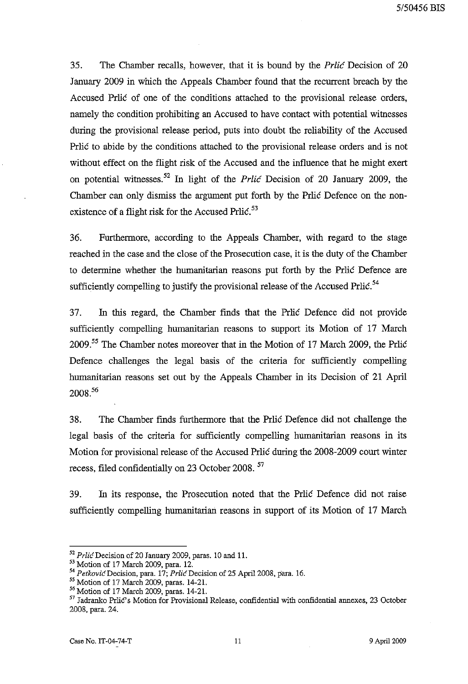35. The Chamber recalls, however, that it is bound by the Prlic Decision of 20 January 2009 in which the Appeals Chamber found that the recurrent breach by the Accused Prlić of one of the conditions attached to the provisional release orders, namely the condition prohibiting an Accused to have contact with potential witnesses during the provisional release period, puts into doubt the reliability of the Accused Prlic to abide by the conditions attached to the provisional release orders and is not without effect on the flight risk of the Accused and the influence that he might exert on potential witnesses.<sup>52</sup> In light of the *Prlic* Decision of 20 January 2009, the Chamber can only dismiss the argument put forth by the Prlić Defence on the nonexistence of a flight risk for the Accused Prlic.<sup>53</sup>

36. Furthermore, according to the Appeals Chamber, with regard to the stage reached in the case and the close of the Prosecution case, it is the duty of the Chamber to determine whether the humanitarian reasons put forth by the Prlić Defence are sufficiently compelling to justify the provisional release of the Accused Prlić.<sup>54</sup>

37. **In** this regard, the Chamber finds that the Prli6 Defence did not provide sufficiently compelling humanitarian reasons to support its Motion of 17 March 2009.55 The Chamber notes moreover that in the Motion of 17 March 2009, the Prli6 Defence challenges the legal basis of the criteria for sufficiently compelling humanitarian reasons set out by the Appeals Chamber in its Decision of 21 April 2008.<sup>56</sup>

38. The Chamber finds furthermore that the Prli6 Defence did not challenge the legal basis of the criteria for sufficiently compelling humanitarian reasons in its Motion for provisional release of the Accused Prlić during the 2008-2009 court winter recess, filed confidentially on 23 October 2008.<sup>57</sup>

39. In its response, the Prosecution noted that the Prli6 Defence did not raise sufficiently compelling humanitarian reasons in support of its Motion of 17 March

<sup>52</sup>*Prlic* Decision of 20 January 2009, paras. 10 and 11.

<sup>53</sup> Motion of 17 March 2009, para. 12.

*<sup>54</sup> Petkovic* Decision, para. 17; *Prlic* Decision of 25 April 2008, para. 16.

<sup>55</sup> Motion of 17 March 2009, paras. 14-21.

<sup>56</sup> Motion of 17 March 2009, paras. 14-21.

 $57$  Jadranko Prlić's Motion for Provisional Release, confidential with confidential annexes, 23 October 2008, para. 24.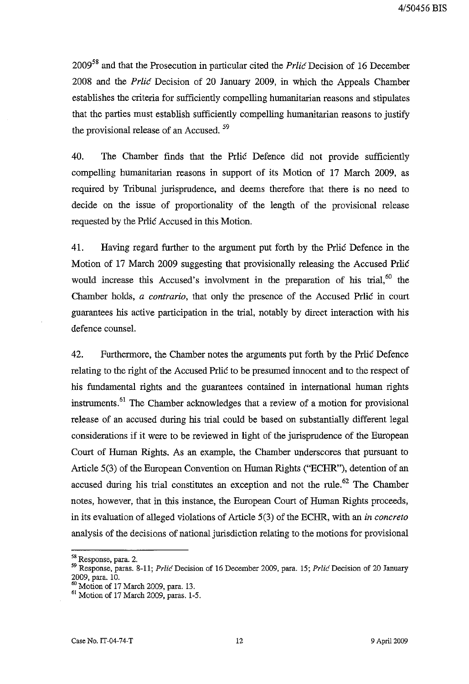$2009<sup>58</sup>$  and that the Prosecution in particular cited the *Prlic* Decision of 16 December 2008 and the Prlic Decision of 20 January 2009, in which the Appeals Chamber establishes the criteria for sufficiently compelling humanitarian reasons and stipulates that the parties must establish sufficiently compelling humanitarian reasons to justify the provisional release of an Accused. 59

40. The Chamber finds that the Prlic Defence did not provide sufficiently compelling humanitarian reasons in support of its Motion of 17 March 2009, as required by Tribunal jurisprudence, and deems therefore that there is no need to decide on the issue of proportionality of the length of the provisional release requested by the Prlic Accused in this Motion.

41. Having regard further to the argument put forth by the Prlic Defence in the Motion of 17 March 2009 suggesting that provisionally releasing the Accused Prlic would increase this Accused's involvment in the preparation of his trial,  $60$  the Chamber holds, *a contrario,* that only the presence of the Accused Prlic in court guarantees his active participation in the trial, notably by direct interaction with his defence counsel.

42. Furthermore, the Chamber notes the arguments put forth by the Prlic Defence relating to the right of the Accused Prlic to be presumed innocent and to the respect of his fundamental rights and the guarantees contained in international human rights instruments.<sup>61</sup> The Chamber acknowledges that a review of a motion for provisional release of an accused during his trial could be based on substantially different legal considerations if it were to be reviewed in light of the jurisprudence of the European Court of Human Rights. As an example, the Chamber underscores that pursuant to Article 5(3) of the European Convention on Human Rights ("ECHR"), detention of an accused during his trial constitutes an exception and not the rule.<sup>62</sup> The Chamber notes, however, that in this instance, the European Court of Human Rights proceeds, in its evaluation of alleged violations of Article 5(3) of the ECHR, with an *in concreto*  analysis of the decisions of national jurisdiction relating to the motions for provisional

**<sup>58</sup> Response, para. 2.** 

<sup>59</sup> Response, paras. 8-11; *PrlicDecision* of 16 December 2009, para. 15; *PrlicDecision* of 20 January 2009, para. 10.

<sup>60</sup> Motion of 17 March 2009, para. 13.

<sup>61</sup> Motion of 17 March 2009, paras. 1-5.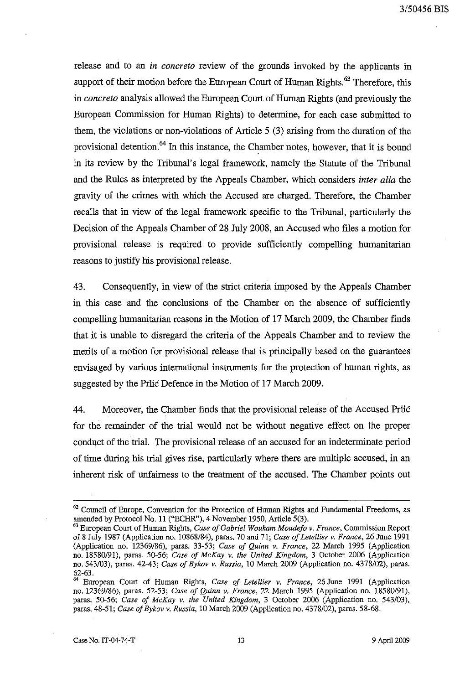*3/50456* BIS

release and to an *in concreto* review of the grounds invoked by the applicants in support of their motion before the European Court of Human Rights.<sup>63</sup> Therefore, this in *concreto* analysis allowed the European Court of Human Rights (and previously the European Commission for Human Rights) to determine, for each case submitted to them, the violations or non-violations of Article 5 (3) arising from the duration of the provisional detention.<sup>64</sup> In this instance, the Chamber notes, however, that it is bound in its review by the Tribunal's legal framework, namely the Statute of the Tribunal and the Rules as interpreted by the Appeals Chamber, which considers *inter alia* the gravity of the crimes with which the Accused are charged. Therefore, the Chamber recalls that in view of the legal framework specific to the Tribunal, particularly the Decision of the Appeals Chamber of 28 July 2008, an Accused who files a motion for provisional release is required to provide sufficiently compelling humanitarian reasons to justify his provisional release.

43. Consequently, in view of the strict criteria imposed by the Appeals Chamber in this case and the conclusions of the Chamber on the absence of sufficiently compelling humanitarian reasons in the Motion of 17 March 2009, the Chamber finds that it is unable to disregard the criteria of the Appeals Chamber and to review the merits of a motion for provisional release that is principally based on the guarantees envisaged by various international instruments for the protection of human rights, as suggested by the Prlic Defence in the Motion of 17 March 2009.

44. Moreover, the Chamber finds that the provisional release of the Accused Prlic for the remainder of the trial would not be without negative effect on the proper conduct of the trial. The provisional release of an accused for an indeterminate period of time during his trial gives rise, particularly where there are mUltiple accused, in an inherent risk of unfairness to the treatment of the accused. The Chamber points out

 $62$  Council of Europe, Convention for the Protection of Human Rights and Fundamental Freedoms, as amended by Protocol No. 11 (''ECHR''), 4 November 1950, Article 5(3).

<sup>63</sup> European Court of Human Rights, *Case of Gabriel Woukam Moudefo* v. *France,* Commission Report of 8 July 1987 (Application no. 10868/84), paras. 70 and 71; *Case of Letellier* v. *France,* 26 June 1991 (Application no. 12369/86), paras. 33-53; *Case of Quinn* v. *France,* 22 March 1995 (Application no. 18580/91), paras. 50-56; *Case of McKay* v. *the United Kingdom,* 3 October 2006 (Application no. 543/03), paras. 42-43; *Case of Bykov* v. *Russia,* 10 March 2009 (Application no. 4378/02), paras. 62-63.

<sup>64</sup> European Court of Human Rights, *Case of Letellier* v. *France,* 26 June 1991 (Application no. 12369/86), paras. 52-53; *Case of Quinn* v. *France,* 22 March 1995 (Application no. 18580/91), paras. 50-56; *Case of McKay* v. *the United Kingdom,* 3 October 2006 (Application no. 543/03), paras. 48-51; *Case of Bykov* v. *Russia,* 10 March 2009 (Application no. *4378/02),* paras. 58-68.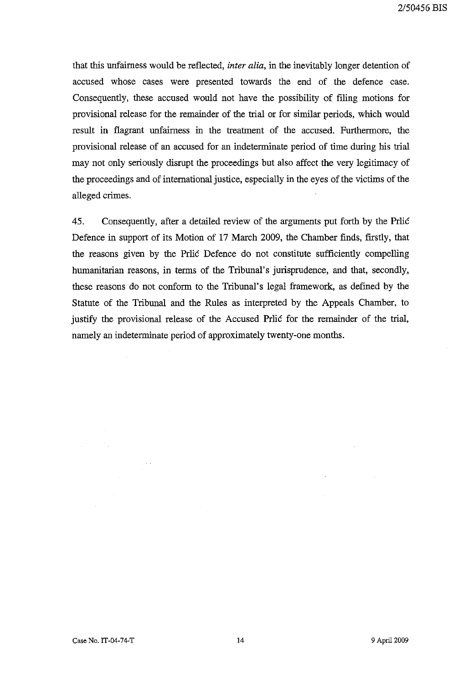that this unfairness would be reflected, *inter alia,* in the inevitably longer detention of accused whose cases were presented towards the end of the defence case. Consequently, these accused would not have the possibility of filing motions for provisional release for the remainder of the trial or for similar periods, which would result in flagrant unfairness in the treatment of the accused. Furthermore, the provisional release of an accused for an indeterminate period of time during his trial may not only seriously disrupt the proceedings but also affect the very legitimacy of the proceedings and of international justice, especially in the eyes of the victims of the alleged crimes.

45. Consequently, after a detailed review of the arguments put forth by the Prlic Defence in support of its Motion of 17 March 2009, the Chamber finds, firstly, that the reasons given by the Prlic Defence do not constitute sufficiently compelling humanitarian reasons, in terms of the Tribunal's jurisprudence, and that, secondly, these reasons do not conform to the Tribunal's legal framework, as defined by the Statute of the Tribunal and the Rules as interpreted by the Appeals Chamber, to justify the provisional release of the Accused Prlic for the remainder of the trial, namely an indeterminate period of approximately twenty-one months.